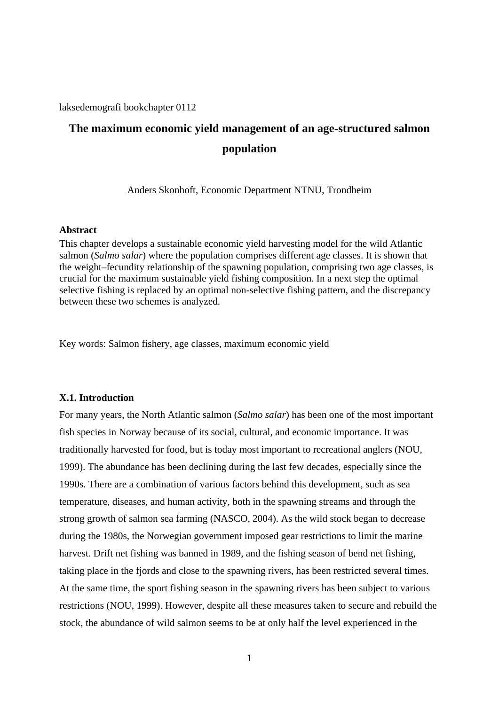laksedemografi bookchapter 0112

# **The maximum economic yield management of an age-structured salmon population**

Anders Skonhoft, Economic Department NTNU, Trondheim

# **Abstract**

This chapter develops a sustainable economic yield harvesting model for the wild Atlantic salmon (*Salmo salar*) where the population comprises different age classes. It is shown that the weight–fecundity relationship of the spawning population, comprising two age classes, is crucial for the maximum sustainable yield fishing composition. In a next step the optimal selective fishing is replaced by an optimal non-selective fishing pattern, and the discrepancy between these two schemes is analyzed.

Key words: Salmon fishery, age classes, maximum economic yield

#### **X.1. Introduction**

For many years, the North Atlantic salmon (*Salmo salar*) has been one of the most important fish species in Norway because of its social, cultural, and economic importance. It was traditionally harvested for food, but is today most important to recreational anglers (NOU, 1999). The abundance has been declining during the last few decades, especially since the 1990s. There are a combination of various factors behind this development, such as sea temperature, diseases, and human activity, both in the spawning streams and through the strong growth of salmon sea farming (NASCO, 2004). As the wild stock began to decrease during the 1980s, the Norwegian government imposed gear restrictions to limit the marine harvest. Drift net fishing was banned in 1989, and the fishing season of bend net fishing, taking place in the fjords and close to the spawning rivers, has been restricted several times. At the same time, the sport fishing season in the spawning rivers has been subject to various restrictions (NOU, 1999). However, despite all these measures taken to secure and rebuild the stock, the abundance of wild salmon seems to be at only half the level experienced in the

1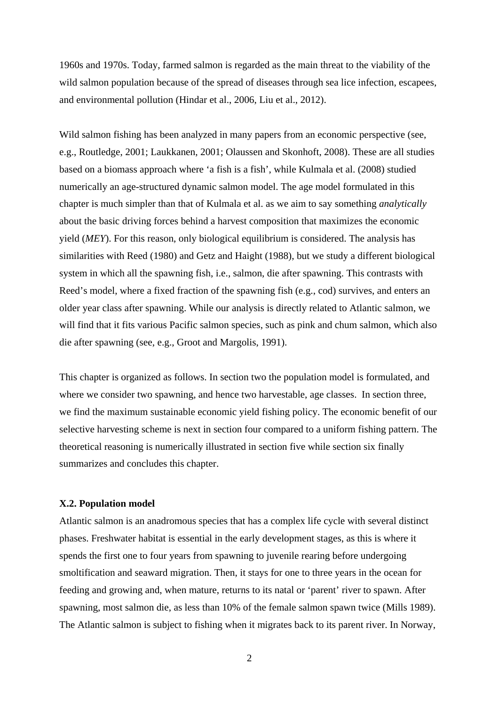1960s and 1970s. Today, farmed salmon is regarded as the main threat to the viability of the wild salmon population because of the spread of diseases through sea lice infection, escapees, and environmental pollution (Hindar et al., 2006, Liu et al., 2012).

Wild salmon fishing has been analyzed in many papers from an economic perspective (see, e.g., Routledge, 2001; Laukkanen, 2001; Olaussen and Skonhoft, 2008). These are all studies based on a biomass approach where 'a fish is a fish', while Kulmala et al. (2008) studied numerically an age-structured dynamic salmon model. The age model formulated in this chapter is much simpler than that of Kulmala et al. as we aim to say something *analytically* about the basic driving forces behind a harvest composition that maximizes the economic yield (*MEY*). For this reason, only biological equilibrium is considered. The analysis has similarities with Reed (1980) and Getz and Haight (1988), but we study a different biological system in which all the spawning fish, i.e., salmon, die after spawning. This contrasts with Reed's model, where a fixed fraction of the spawning fish (e.g., cod) survives, and enters an older year class after spawning. While our analysis is directly related to Atlantic salmon, we will find that it fits various Pacific salmon species, such as pink and chum salmon, which also die after spawning (see, e.g., Groot and Margolis, 1991).

This chapter is organized as follows. In section two the population model is formulated, and where we consider two spawning, and hence two harvestable, age classes. In section three, we find the maximum sustainable economic yield fishing policy. The economic benefit of our selective harvesting scheme is next in section four compared to a uniform fishing pattern. The theoretical reasoning is numerically illustrated in section five while section six finally summarizes and concludes this chapter.

## **X.2. Population model**

Atlantic salmon is an anadromous species that has a complex life cycle with several distinct phases. Freshwater habitat is essential in the early development stages, as this is where it spends the first one to four years from spawning to juvenile rearing before undergoing smoltification and seaward migration. Then, it stays for one to three years in the ocean for feeding and growing and, when mature, returns to its natal or 'parent' river to spawn. After spawning, most salmon die, as less than 10% of the female salmon spawn twice (Mills 1989). The Atlantic salmon is subject to fishing when it migrates back to its parent river. In Norway,

2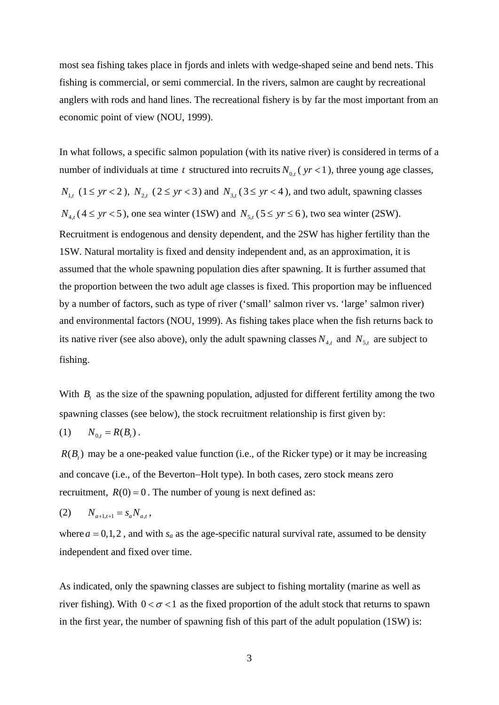most sea fishing takes place in fjords and inlets with wedge-shaped seine and bend nets. This fishing is commercial, or semi commercial. In the rivers, salmon are caught by recreational anglers with rods and hand lines. The recreational fishery is by far the most important from an economic point of view (NOU, 1999).

In what follows, a specific salmon population (with its native river) is considered in terms of a number of individuals at time *t* structured into recruits  $N_{0,t}$  ( $yr < 1$ ), three young age classes,  $N_{1,t}$  (1  $\leq$  *yr*  $\lt$  2 ),  $N_{2,t}$  (2  $\leq$  *yr*  $\lt$  3) and  $N_{3,t}$  (3  $\leq$  *yr*  $\lt$  4), and two adult, spawning classes  $N_{4,t}$  (4  $\leq$  yr  $<$  5), one sea winter (1SW) and  $N_{5,t}$  (5  $\leq$  yr  $\leq$  6), two sea winter (2SW). Recruitment is endogenous and density dependent, and the 2SW has higher fertility than the 1SW. Natural mortality is fixed and density independent and, as an approximation, it is assumed that the whole spawning population dies after spawning. It is further assumed that the proportion between the two adult age classes is fixed. This proportion may be influenced by a number of factors, such as type of river ('small' salmon river vs. 'large' salmon river) and environmental factors (NOU, 1999). As fishing takes place when the fish returns back to its native river (see also above), only the adult spawning classes  $N_{4,t}$  and  $N_{5,t}$  are subject to fishing.

With *B<sub>t</sub>* as the size of the spawning population, adjusted for different fertility among the two spawning classes (see below), the stock recruitment relationship is first given by:

(1) 
$$
N_{0,t} = R(B_t)
$$
.

 $R(B<sub>i</sub>)$  may be a one-peaked value function (i.e., of the Ricker type) or it may be increasing and concave (i.e., of the Beverton-Holt type). In both cases, zero stock means zero recruitment,  $R(0) = 0$ . The number of young is next defined as:

$$
(2) \tN_{a+1,t+1} = s_a N_{a,t},
$$

where  $a = 0,1,2$ , and with  $s_a$  as the age-specific natural survival rate, assumed to be density independent and fixed over time.

As indicated, only the spawning classes are subject to fishing mortality (marine as well as river fishing). With  $0 < \sigma < 1$  as the fixed proportion of the adult stock that returns to spawn in the first year, the number of spawning fish of this part of the adult population (1SW) is: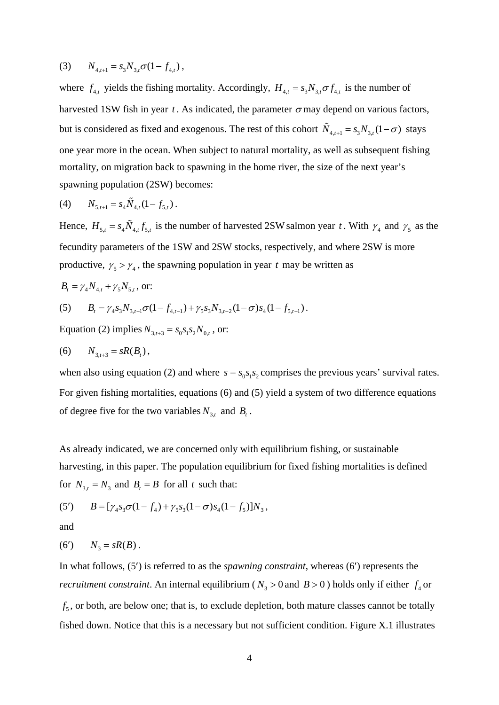(3) 
$$
N_{4,t+1} = s_3 N_{3,t} \sigma (1 - f_{4,t}),
$$

where  $f_{4,t}$  yields the fishing mortality. Accordingly,  $H_{4,t} = s_3 N_{3,t} \sigma f_{4,t}$  is the number of harvested 1SW fish in year  $t$ . As indicated, the parameter  $\sigma$  may depend on various factors, but is considered as fixed and exogenous. The rest of this cohort  $\tilde{N}_{4,t+1} = s_3 N_{3,t} (1 - \sigma)$  stays one year more in the ocean. When subject to natural mortality, as well as subsequent fishing mortality, on migration back to spawning in the home river, the size of the next year's spawning population (2SW) becomes:

(4) 
$$
N_{5,t+1} = s_4 \tilde{N}_{4,t} (1 - f_{5,t}).
$$

Hence,  $H_{5,t} = s_4 \tilde{N}_{4,t} f_{5,t}$  is the number of harvested 2SW salmon year *t*. With  $\gamma_4$  and  $\gamma_5$  as the fecundity parameters of the 1SW and 2SW stocks, respectively, and where 2SW is more productive,  $\gamma_5 > \gamma_4$ , the spawning population in year *t* may be written as

$$
B_t = \gamma_4 N_{4,t} + \gamma_5 N_{5,t}
$$
, or:

(5) 
$$
B_t = \gamma_4 s_3 N_{3,t-1} \sigma (1 - f_{4,t-1}) + \gamma_5 s_3 N_{3,t-2} (1 - \sigma) s_4 (1 - f_{5,t-1}).
$$

Equation (2) implies  $N_{3,t+3} = s_0 s_1 s_2 N_{0,t}$ , or:

(6) 
$$
N_{3,t+3} = sR(B_t)
$$
,

when also using equation (2) and where  $s = s_0 s_1 s_2$  comprises the previous years' survival rates. For given fishing mortalities, equations (6) and (5) yield a system of two difference equations of degree five for the two variables  $N_{3,t}$  and  $B_t$ .

As already indicated, we are concerned only with equilibrium fishing, or sustainable harvesting, in this paper. The population equilibrium for fixed fishing mortalities is defined for  $N_{3,t} = N_3$  and  $B_t = B$  for all *t* such that:

(5') 
$$
B = [\gamma_4 s_3 \sigma (1 - f_4) + \gamma_5 s_3 (1 - \sigma) s_4 (1 - f_5)] N_3,
$$

and

$$
(6') \qquad N_3 = sR(B) \, .
$$

In what follows, (5) is referred to as the *spawning constraint*, whereas (6) represents the *recruitment constraint*. An internal equilibrium ( $N_3 > 0$  and  $B > 0$ ) holds only if either  $f_4$  or  $f<sub>5</sub>$ , or both, are below one; that is, to exclude depletion, both mature classes cannot be totally fished down. Notice that this is a necessary but not sufficient condition. Figure X.1 illustrates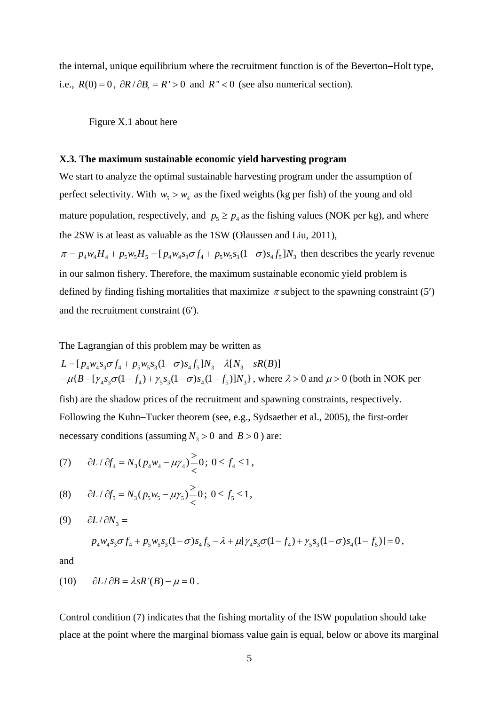the internal, unique equilibrium where the recruitment function is of the Beverton–Holt type, i.e.,  $R(0) = 0$ ,  $\partial R / \partial B_t = R' > 0$  and  $R'' < 0$  (see also numerical section).

Figure X.1 about here

#### **X.3. The maximum sustainable economic yield harvesting program**

We start to analyze the optimal sustainable harvesting program under the assumption of perfect selectivity. With  $w_5 > w_4$  as the fixed weights (kg per fish) of the young and old mature population, respectively, and  $p_5 \ge p_4$  as the fishing values (NOK per kg), and where the 2SW is at least as valuable as the 1SW (Olaussen and Liu, 2011),  $\pi = p_4 w_4 H_4 + p_5 w_5 H_5 = [p_4 w_4 s_3 \sigma f_4 + p_5 w_5 s_3 (1 - \sigma) s_4 f_5] N_3$  then describes the yearly revenue in our salmon fishery. Therefore, the maximum sustainable economic yield problem is defined by finding fishing mortalities that maximize  $\pi$  subject to the spawning constraint (5') and the recruitment constraint (6).

The Lagrangian of this problem may be written as

 $L = [p_A w_A s_3 \sigma f_A + p_5 w_5 s_3 (1 - \sigma) s_A f_5] N_3 - \lambda [N_3 - sR(B)]$  $-\mu{B - [\gamma_4 s_3 \sigma (1 - f_4) + \gamma_5 s_3 (1 - \sigma) s_4 (1 - f_5)]N_3}$ , where  $\lambda > 0$  and  $\mu > 0$  (both in NOK per fish) are the shadow prices of the recruitment and spawning constraints, respectively. Following the Kuhn–Tucker theorem (see, e.g., Sydsaether et al., 2005), the first-order necessary conditions (assuming  $N_3 > 0$  and  $B > 0$ ) are:

(7) 
$$
\partial L / \partial f_4 = N_3 (p_4 w_4 - \mu \gamma_4) \frac{\ge}{\lt} 0; 0 \le f_4 \le 1,
$$

(8) 
$$
\partial L / \partial f_5 = N_3 (p_5 w_5 - \mu \gamma_5) \frac{\ge}{\lt} 0; 0 \le f_5 \le 1,
$$

$$
(9) \qquad \partial L / \partial N_3 =
$$

$$
p_4 w_4 s_3 \sigma f_4 + p_5 w_5 s_3 (1 - \sigma) s_4 f_5 - \lambda + \mu [\gamma_4 s_3 \sigma (1 - f_4) + \gamma_5 s_3 (1 - \sigma) s_4 (1 - f_5)] = 0,
$$

and

$$
(10) \qquad \partial L/\partial B = \lambda s R'(B) - \mu = 0.
$$

Control condition (7) indicates that the fishing mortality of the ISW population should take place at the point where the marginal biomass value gain is equal, below or above its marginal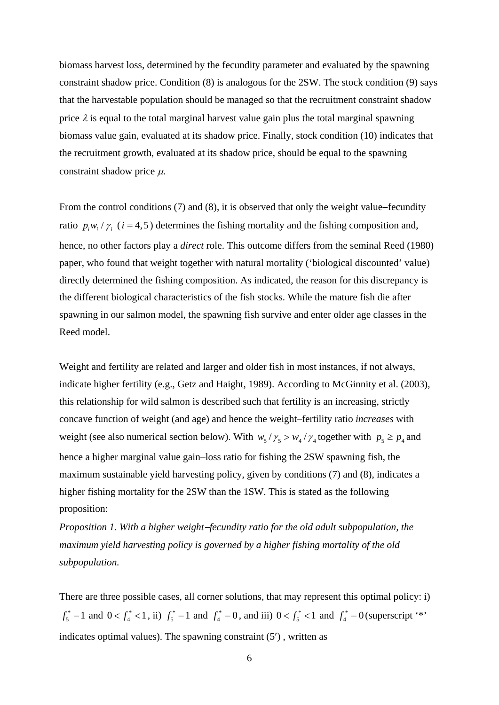biomass harvest loss, determined by the fecundity parameter and evaluated by the spawning constraint shadow price. Condition (8) is analogous for the 2SW. The stock condition (9) says that the harvestable population should be managed so that the recruitment constraint shadow price  $\lambda$  is equal to the total marginal harvest value gain plus the total marginal spawning biomass value gain, evaluated at its shadow price. Finally, stock condition (10) indicates that the recruitment growth, evaluated at its shadow price, should be equal to the spawning constraint shadow price  $\mu$ .

From the control conditions  $(7)$  and  $(8)$ , it is observed that only the weight value–fecundity ratio  $p_i w_i / \gamma_i$  ( $i = 4,5$ ) determines the fishing mortality and the fishing composition and, hence, no other factors play a *direct* role. This outcome differs from the seminal Reed (1980) paper, who found that weight together with natural mortality ('biological discounted' value) directly determined the fishing composition. As indicated, the reason for this discrepancy is the different biological characteristics of the fish stocks. While the mature fish die after spawning in our salmon model, the spawning fish survive and enter older age classes in the Reed model.

Weight and fertility are related and larger and older fish in most instances, if not always, indicate higher fertility (e.g., Getz and Haight, 1989). According to McGinnity et al. (2003), this relationship for wild salmon is described such that fertility is an increasing, strictly concave function of weight (and age) and hence the weight–fertility ratio *increases* with weight (see also numerical section below). With  $w_5 / \gamma_5 > w_4 / \gamma_4$  together with  $p_5 \ge p_4$  and hence a higher marginal value gain–loss ratio for fishing the 2SW spawning fish, the maximum sustainable yield harvesting policy, given by conditions (7) and (8), indicates a higher fishing mortality for the 2SW than the 1SW. This is stated as the following proposition:

*Proposition 1. With a higher weight-fecundity ratio for the old adult subpopulation, the maximum yield harvesting policy is governed by a higher fishing mortality of the old subpopulation.*

There are three possible cases, all corner solutions, that may represent this optimal policy: i)  $f_5^* = 1$  and  $0 < f_4^* < 1$ , ii)  $f_5^* = 1$  and  $f_4^* = 0$ , and iii)  $0 < f_5^* < 1$  and  $f_4^* = 0$  (superscript '\*' indicates optimal values). The spawning constraint (5'), written as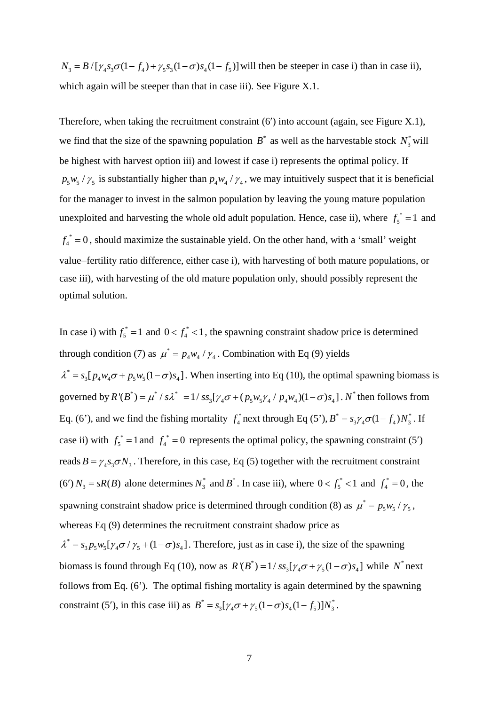$N_3 = B/[\gamma_4 s_3 \sigma (1 - f_4) + \gamma_5 s_3 (1 - \sigma) s_4 (1 - f_5)]$  will then be steeper in case i) than in case ii), which again will be steeper than that in case iii). See Figure X.1.

Therefore, when taking the recruitment constraint  $(6')$  into account (again, see Figure X.1), we find that the size of the spawning population  $B^*$  as well as the harvestable stock  $N_3^*$  will be highest with harvest option iii) and lowest if case i) represents the optimal policy. If  $p_5 w_5 / \gamma_5$  is substantially higher than  $p_4 w_4 / \gamma_4$ , we may intuitively suspect that it is beneficial for the manager to invest in the salmon population by leaving the young mature population unexploited and harvesting the whole old adult population. Hence, case ii), where  $f_5^* = 1$  and  $f_4^* = 0$ , should maximize the sustainable yield. On the other hand, with a 'small' weight value–fertility ratio difference, either case i), with harvesting of both mature populations, or case iii), with harvesting of the old mature population only, should possibly represent the optimal solution.

In case i) with  $f_5^* = 1$  and  $0 < f_4^* < 1$ , the spawning constraint shadow price is determined through condition (7) as  $\mu^* = p_4 w_4 / \gamma_4$ . Combination with Eq (9) yields  $\lambda^* = s_3[p_4w_4\sigma + p_5w_5(1-\sigma)s_4]$ . When inserting into Eq (10), the optimal spawning biomass is governed by  $R'(B^*) = \mu^* / s\lambda^* = 1 / s s_3 [\gamma_4 \sigma + (p_5 w_5 \gamma_4 / p_4 w_4)(1 - \sigma) s_4]$ . N'' then follows from Eq. (6'), and we find the fishing mortality  $f_4^*$  next through Eq (5'),  $B^* = s_3 \gamma_4 \sigma (1 - f_4) N_3^*$ . If case ii) with  $f_5^* = 1$  and  $f_4^* = 0$  represents the optimal policy, the spawning constraint (5') reads  $B = \gamma_A s_A \sigma N_A$ . Therefore, in this case, Eq (5) together with the recruitment constraint (6')  $N_3 = sR(B)$  alone determines  $N_3^*$  and  $B^*$ . In case iii), where  $0 < f_5^* < 1$  and  $f_4^* = 0$ , the spawning constraint shadow price is determined through condition (8) as  $\mu^* = p_5 w_5 / \gamma_5$ , whereas Eq (9) determines the recruitment constraint shadow price as  $\lambda^* = s_3 p_5 w_5 [\gamma_4 \sigma / \gamma_5 + (1 - \sigma) s_4]$ . Therefore, just as in case i), the size of the spawning

biomass is found through Eq (10), now as  $R'(B^*) = 1/ss_3[\gamma_4\sigma + \gamma_5(1-\sigma)s_4]$  while  $N^*$  next follows from Eq. (6'). The optimal fishing mortality is again determined by the spawning constraint (5'), in this case iii) as  $B^* = s_3[\gamma_4\sigma + \gamma_5(1-\sigma)s_4(1-f_5)]N_3^*$ .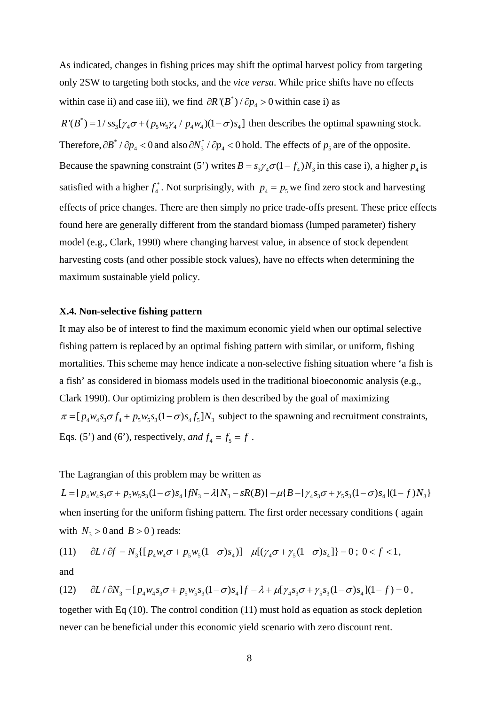As indicated, changes in fishing prices may shift the optimal harvest policy from targeting only 2SW to targeting both stocks, and the *vice versa*. While price shifts have no effects within case ii) and case iii), we find  $\partial R'(B^*) / \partial p_4 > 0$  within case i) as

 $R'(B^*) = 1/ss_3[\gamma_4\sigma + (p_5w_5\gamma_4/p_4w_4)(1-\sigma)s_4]$  then describes the optimal spawning stock. Therefore,  $\partial B^* / \partial p_4 < 0$  and also  $\partial N_3^* / \partial p_4 < 0$  hold. The effects of  $p_5$  are of the opposite. Because the spawning constraint (5') writes  $B = s_3 \gamma_4 \sigma (1 - f_4) N_3$  in this case i), a higher  $p_4$  is satisfied with a higher  $f_4^*$ . Not surprisingly, with  $p_4 = p_5$  we find zero stock and harvesting effects of price changes. There are then simply no price trade-offs present. These price effects found here are generally different from the standard biomass (lumped parameter) fishery model (e.g., Clark, 1990) where changing harvest value, in absence of stock dependent harvesting costs (and other possible stock values), have no effects when determining the maximum sustainable yield policy.

### **X.4. Non-selective fishing pattern**

It may also be of interest to find the maximum economic yield when our optimal selective fishing pattern is replaced by an optimal fishing pattern with similar, or uniform, fishing mortalities. This scheme may hence indicate a non-selective fishing situation where 'a fish is a fish' as considered in biomass models used in the traditional bioeconomic analysis (e.g., Clark 1990). Our optimizing problem is then described by the goal of maximizing  $\pi = [p_A w_A s_A \sigma f_A + p_S w_S s_A (1-\sigma) s_A f_S] N_A$  subject to the spawning and recruitment constraints, Eqs. (5') and (6'), respectively, and  $f_4 = f_5 = f$ .

The Lagrangian of this problem may be written as

 $L = [p_{A}w_{A}s_{3}\sigma + p_{5}w_{5}s_{3}(1-\sigma)s_{A}]fN_{3} - \lambda[N_{3}-sR(B)] - \mu[B-[y_{A}s_{3}\sigma + y_{5}s_{3}(1-\sigma)s_{A}] (1-f)N_{3}]$ when inserting for the uniform fishing pattern. The first order necessary conditions ( again with  $N_3 > 0$  and  $B > 0$  ) reads:

(11) 
$$
\partial L / \partial f = N_3 \{ [p_4 w_4 \sigma + p_5 w_5 (1 - \sigma) s_4] - \mu [(\gamma_4 \sigma + \gamma_5 (1 - \sigma) s_4] \} = 0; 0 < f < 1,
$$

and

$$
(12) \qquad \partial L / \partial N_3 = [p_4 w_4 s_3 \sigma + p_5 w_5 s_3 (1 - \sigma) s_4] f - \lambda + \mu [ \gamma_4 s_3 \sigma + \gamma_5 s_3 (1 - \sigma) s_4 ] (1 - f) = 0,
$$

together with Eq (10). The control condition (11) must hold as equation as stock depletion never can be beneficial under this economic yield scenario with zero discount rent.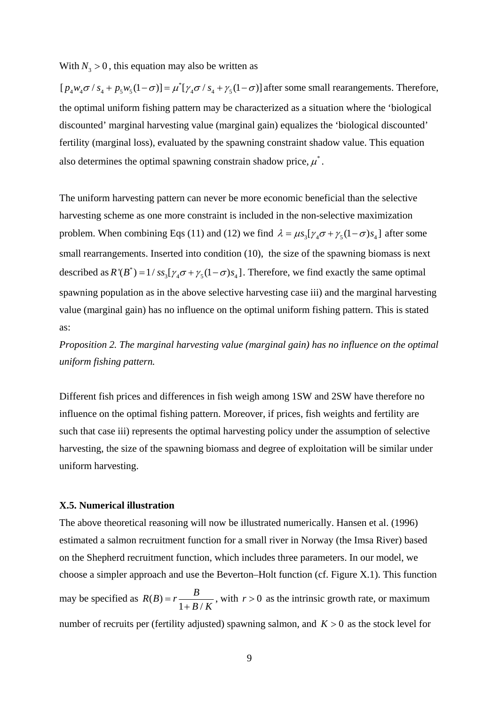With  $N_3 > 0$ , this equation may also be written as

 $[p_4w_4\sigma / s_4 + p_5w_5(1-\sigma)] = \mu^*[\gamma_4\sigma / s_4 + \gamma_5(1-\sigma)]$  after some small rearangements. Therefore, the optimal uniform fishing pattern may be characterized as a situation where the 'biological discounted' marginal harvesting value (marginal gain) equalizes the 'biological discounted' fertility (marginal loss), evaluated by the spawning constraint shadow value. This equation also determines the optimal spawning constrain shadow price,  $\mu^*$ .

The uniform harvesting pattern can never be more economic beneficial than the selective harvesting scheme as one more constraint is included in the non-selective maximization problem. When combining Eqs (11) and (12) we find  $\lambda = \mu s_s [\gamma_4 \sigma + \gamma_5 (1 - \sigma) s_4]$  after some small rearrangements. Inserted into condition (10), the size of the spawning biomass is next described as  $R'(B^*) = 1/ss_3[\gamma_4\sigma + \gamma_5(1-\sigma)s_4]$ . Therefore, we find exactly the same optimal spawning population as in the above selective harvesting case iii) and the marginal harvesting value (marginal gain) has no influence on the optimal uniform fishing pattern. This is stated as:

*Proposition 2. The marginal harvesting value (marginal gain) has no influence on the optimal uniform fishing pattern.* 

Different fish prices and differences in fish weigh among 1SW and 2SW have therefore no influence on the optimal fishing pattern. Moreover, if prices, fish weights and fertility are such that case iii) represents the optimal harvesting policy under the assumption of selective harvesting, the size of the spawning biomass and degree of exploitation will be similar under uniform harvesting.

#### **X.5. Numerical illustration**

The above theoretical reasoning will now be illustrated numerically. Hansen et al. (1996) estimated a salmon recruitment function for a small river in Norway (the Imsa River) based on the Shepherd recruitment function, which includes three parameters. In our model, we choose a simpler approach and use the Beverton–Holt function (cf. Figure X.1). This function may be specified as  $R(B) = r \frac{B}{1 + B/K}$ , with  $r > 0$  as the intrinsic growth rate, or maximum number of recruits per (fertility adjusted) spawning salmon, and  $K > 0$  as the stock level for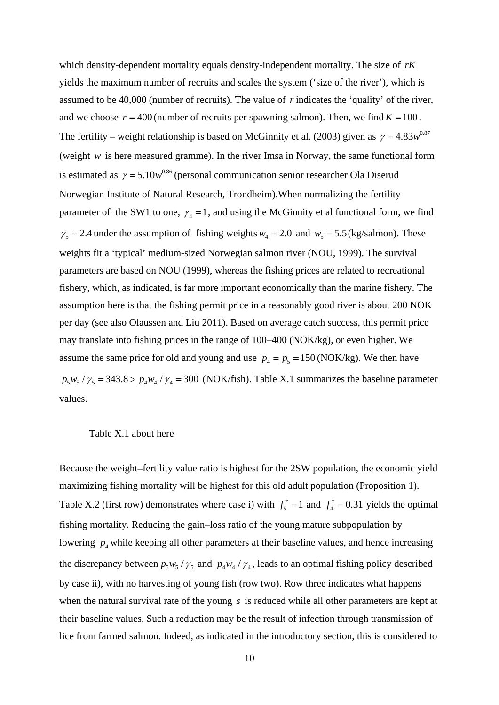which density-dependent mortality equals density-independent mortality. The size of *rK* yields the maximum number of recruits and scales the system ('size of the river'), which is assumed to be 40,000 (number of recruits). The value of *r* indicates the 'quality' of the river, and we choose  $r = 400$  (number of recruits per spawning salmon). Then, we find  $K = 100$ . The fertility – weight relationship is based on McGinnity et al. (2003) given as  $\gamma = 4.83 w^{0.87}$ (weight *w* is here measured gramme). In the river Imsa in Norway, the same functional form is estimated as  $\gamma = 5.10w^{0.86}$  (personal communication senior researcher Ola Diserud Norwegian Institute of Natural Research, Trondheim).When normalizing the fertility parameter of the SW1 to one,  $\gamma_4 = 1$ , and using the McGinnity et al functional form, we find  $\gamma_5 = 2.4$  under the assumption of fishing weights  $w_4 = 2.0$  and  $w_5 = 5.5$  (kg/salmon). These weights fit a 'typical' medium-sized Norwegian salmon river (NOU, 1999). The survival parameters are based on NOU (1999), whereas the fishing prices are related to recreational fishery, which, as indicated, is far more important economically than the marine fishery. The assumption here is that the fishing permit price in a reasonably good river is about 200 NOK per day (see also Olaussen and Liu 2011). Based on average catch success, this permit price may translate into fishing prices in the range of 100–400 (NOK/kg), or even higher. We assume the same price for old and young and use  $p_4 = p_5 = 150$  (NOK/kg). We then have  $p_5 w_5 / \gamma_5 = 343.8 > p_4 w_4 / \gamma_4 = 300$  (NOK/fish). Table X.1 summarizes the baseline parameter values.

#### Table X.1 about here

Because the weight–fertility value ratio is highest for the 2SW population, the economic yield maximizing fishing mortality will be highest for this old adult population (Proposition 1). Table X.2 (first row) demonstrates where case i) with  $f_5^* = 1$  and  $f_4^* = 0.31$  yields the optimal fishing mortality. Reducing the gain–loss ratio of the young mature subpopulation by lowering  $p_4$  while keeping all other parameters at their baseline values, and hence increasing the discrepancy between  $p_5 w_5 / \gamma_5$  and  $p_4 w_4 / \gamma_4$ , leads to an optimal fishing policy described by case ii), with no harvesting of young fish (row two). Row three indicates what happens when the natural survival rate of the young *s* is reduced while all other parameters are kept at their baseline values. Such a reduction may be the result of infection through transmission of lice from farmed salmon. Indeed, as indicated in the introductory section, this is considered to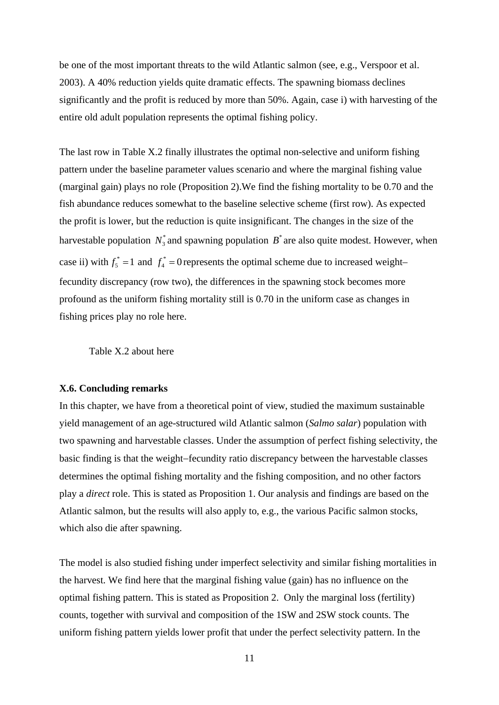be one of the most important threats to the wild Atlantic salmon (see, e.g., Verspoor et al. 2003). A 40% reduction yields quite dramatic effects. The spawning biomass declines significantly and the profit is reduced by more than 50%. Again, case i) with harvesting of the entire old adult population represents the optimal fishing policy.

The last row in Table X.2 finally illustrates the optimal non-selective and uniform fishing pattern under the baseline parameter values scenario and where the marginal fishing value (marginal gain) plays no role (Proposition 2).We find the fishing mortality to be 0.70 and the fish abundance reduces somewhat to the baseline selective scheme (first row). As expected the profit is lower, but the reduction is quite insignificant. The changes in the size of the harvestable population  $N_3^*$  and spawning population  $B^*$  are also quite modest. However, when case ii) with  $f_5^* = 1$  and  $f_4^* = 0$  represents the optimal scheme due to increased weight– fecundity discrepancy (row two), the differences in the spawning stock becomes more profound as the uniform fishing mortality still is 0.70 in the uniform case as changes in fishing prices play no role here.

Table X.2 about here

### **X.6. Concluding remarks**

In this chapter, we have from a theoretical point of view, studied the maximum sustainable yield management of an age-structured wild Atlantic salmon (*Salmo salar*) population with two spawning and harvestable classes. Under the assumption of perfect fishing selectivity, the basic finding is that the weight-fecundity ratio discrepancy between the harvestable classes determines the optimal fishing mortality and the fishing composition, and no other factors play a *direct* role. This is stated as Proposition 1. Our analysis and findings are based on the Atlantic salmon, but the results will also apply to, e.g., the various Pacific salmon stocks, which also die after spawning.

The model is also studied fishing under imperfect selectivity and similar fishing mortalities in the harvest. We find here that the marginal fishing value (gain) has no influence on the optimal fishing pattern. This is stated as Proposition 2. Only the marginal loss (fertility) counts, together with survival and composition of the 1SW and 2SW stock counts. The uniform fishing pattern yields lower profit that under the perfect selectivity pattern. In the

11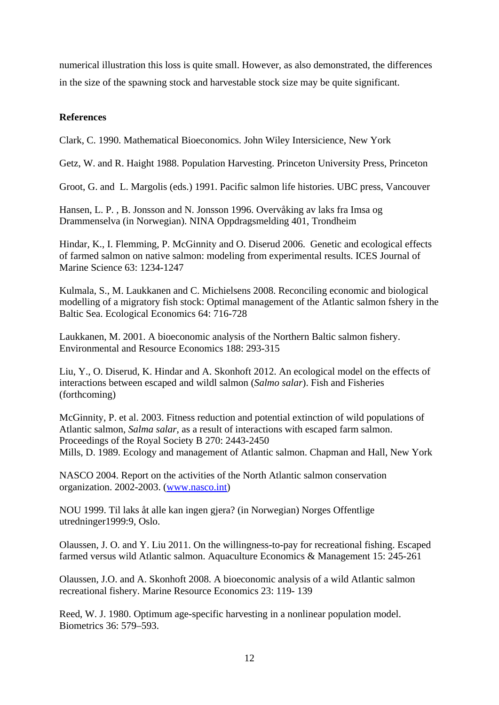numerical illustration this loss is quite small. However, as also demonstrated, the differences in the size of the spawning stock and harvestable stock size may be quite significant.

# **References**

Clark, C. 1990. Mathematical Bioeconomics. John Wiley Intersicience, New York

Getz, W. and R. Haight 1988. Population Harvesting. Princeton University Press, Princeton

Groot, G. and L. Margolis (eds.) 1991. Pacific salmon life histories. UBC press, Vancouver

Hansen, L. P. , B. Jonsson and N. Jonsson 1996. Overvåking av laks fra Imsa og Drammenselva (in Norwegian). NINA Oppdragsmelding 401, Trondheim

Hindar, K., I. Flemming, P. McGinnity and O. Diserud 2006. Genetic and ecological effects of farmed salmon on native salmon: modeling from experimental results. ICES Journal of Marine Science 63: 1234-1247

Kulmala, S., M. Laukkanen and C. Michielsens 2008. Reconciling economic and biological modelling of a migratory fish stock: Optimal management of the Atlantic salmon fshery in the Baltic Sea. Ecological Economics 64: 716-728

Laukkanen, M. 2001. A bioeconomic analysis of the Northern Baltic salmon fishery. Environmental and Resource Economics 188: 293-315

Liu, Y., O. Diserud, K. Hindar and A. Skonhoft 2012. An ecological model on the effects of interactions between escaped and wildl salmon (*Salmo salar*). Fish and Fisheries (forthcoming)

McGinnity, P. et al. 2003. Fitness reduction and potential extinction of wild populations of Atlantic salmon, *Salma salar*, as a result of interactions with escaped farm salmon. Proceedings of the Royal Society B 270: 2443-2450 Mills, D. 1989. Ecology and management of Atlantic salmon. Chapman and Hall, New York

NASCO 2004. Report on the activities of the North Atlantic salmon conservation organization. 2002-2003. (www.nasco.int)

NOU 1999. Til laks åt alle kan ingen gjera? (in Norwegian) Norges Offentlige utredninger1999:9, Oslo.

Olaussen, J. O. and Y. Liu 2011. On the willingness-to-pay for recreational fishing. Escaped farmed versus wild Atlantic salmon. Aquaculture Economics & Management 15: 245-261

Olaussen, J.O. and A. Skonhoft 2008. A bioeconomic analysis of a wild Atlantic salmon recreational fishery. Marine Resource Economics 23: 119- 139

Reed, W. J. 1980. Optimum age-specific harvesting in a nonlinear population model. Biometrics 36: 579–593.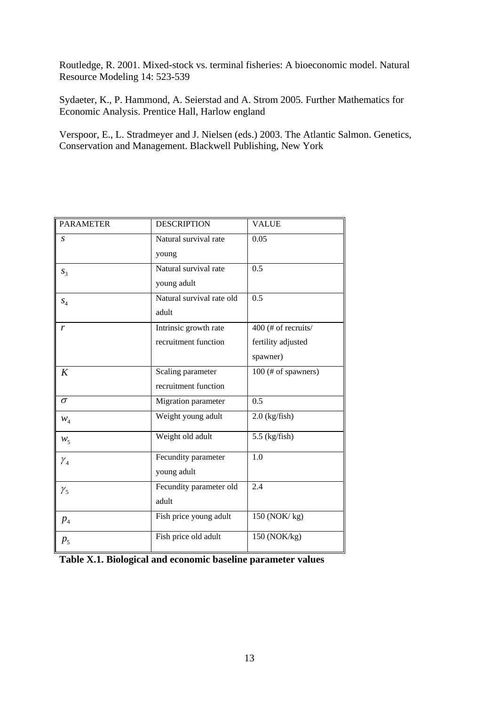Routledge, R. 2001. Mixed-stock vs. terminal fisheries: A bioeconomic model. Natural Resource Modeling 14: 523-539

Sydaeter, K., P. Hammond, A. Seierstad and A. Strom 2005. Further Mathematics for Economic Analysis. Prentice Hall, Harlow england

Verspoor, E., L. Stradmeyer and J. Nielsen (eds.) 2003. The Atlantic Salmon. Genetics, Conservation and Management. Blackwell Publishing, New York

| <b>PARAMETER</b> | <b>DESCRIPTION</b>        | <b>VALUE</b>        |  |
|------------------|---------------------------|---------------------|--|
| S                | Natural survival rate     | 0.05                |  |
|                  | young                     |                     |  |
| $S_3$            | Natural survival rate     | 0.5                 |  |
|                  | young adult               |                     |  |
| $S_4$            | Natural survival rate old | 0.5                 |  |
|                  | adult                     |                     |  |
| r                | Intrinsic growth rate     | 400 (# of recruits/ |  |
|                  | recruitment function      | fertility adjusted  |  |
|                  |                           | spawner)            |  |
| K                | Scaling parameter         | 100 (# of spawners) |  |
|                  | recruitment function      |                     |  |
| $\sigma$         | Migration parameter       | 0.5                 |  |
| $W_4$            | Weight young adult        | $2.0$ (kg/fish)     |  |
| $W_5$            | Weight old adult          | $5.5$ (kg/fish)     |  |
| $\gamma_4$       | Fecundity parameter       | 1.0                 |  |
|                  | young adult               |                     |  |
| $\gamma_{5}$     | Fecundity parameter old   | 2.4                 |  |
|                  | adult                     |                     |  |
| p <sub>4</sub>   | Fish price young adult    | 150 (NOK/kg)        |  |
| p <sub>5</sub>   | Fish price old adult      | 150 (NOK/kg)        |  |

|  |  | Table X.1. Biological and economic baseline parameter values |  |
|--|--|--------------------------------------------------------------|--|
|--|--|--------------------------------------------------------------|--|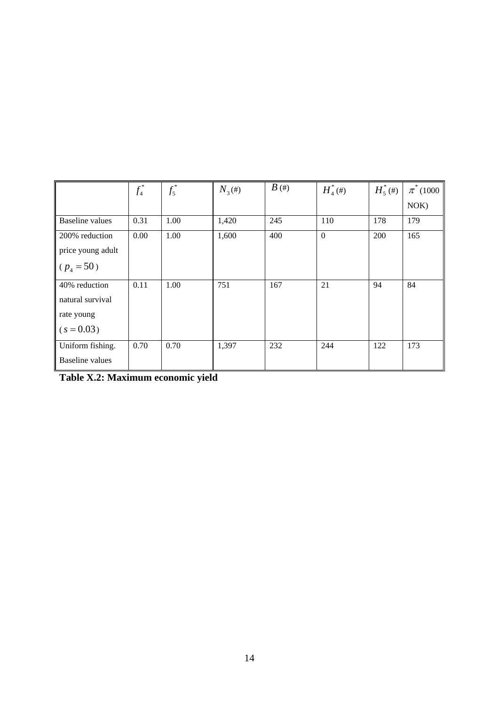|                   | $f_4^*$ | $f_5^*$ | $N_3(\#)$ | $B$ (#) | $H_{4}^{\ast}$ (#) | $H^*_{5}(\#)$ | $\pi^*(1000)$ |
|-------------------|---------|---------|-----------|---------|--------------------|---------------|---------------|
|                   |         |         |           |         |                    |               | NOK           |
| Baseline values   | 0.31    | 1.00    | 1,420     | 245     | 110                | 178           | 179           |
| 200% reduction    | 0.00    | 1.00    | 1,600     | 400     | $\mathbf{0}$       | 200           | 165           |
| price young adult |         |         |           |         |                    |               |               |
| $(p_4 = 50)$      |         |         |           |         |                    |               |               |
| 40% reduction     | 0.11    | 1.00    | 751       | 167     | 21                 | 94            | 84            |
| natural survival  |         |         |           |         |                    |               |               |
| rate young        |         |         |           |         |                    |               |               |
| $(s = 0.03)$      |         |         |           |         |                    |               |               |
| Uniform fishing.  | 0.70    | 0.70    | 1,397     | 232     | 244                | 122           | 173           |
| Baseline values   |         |         |           |         |                    |               |               |

**Table X.2: Maximum economic yield**